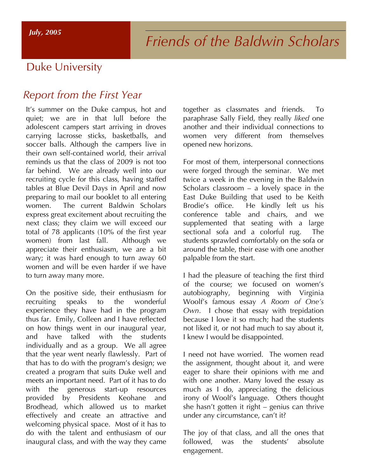# Duke University

## *Report from the First Year*

It's summer on the Duke campus, hot and quiet; we are in that lull before the adolescent campers start arriving in droves carrying lacrosse sticks, basketballs, and soccer balls. Although the campers live in their own self-contained world, their arrival reminds us that the class of 2009 is not too far behind. We are already well into our recruiting cycle for this class, having staffed tables at Blue Devil Days in April and now preparing to mail our booklet to all entering women. The current Baldwin Scholars express great excitement about recruiting the next class; they claim we will exceed our total of 78 applicants (10% of the first year women) from last fall. Although we appreciate their enthusiasm, we are a bit wary; it was hard enough to turn away 60 women and will be even harder if we have to turn away many more.

On the positive side, their enthusiasm for recruiting speaks to the wonderful experience they have had in the program thus far. Emily, Colleen and I have reflected on how things went in our inaugural year, and have talked with the students individually and as a group. We all agree that the year went nearly flawlessly. Part of that has to do with the program's design; we created a program that suits Duke well and meets an important need. Part of it has to do with the generous start-up resources provided by Presidents Keohane and Brodhead, which allowed us to market effectively and create an attractive and welcoming physical space. Most of it has to do with the talent and enthusiasm of our inaugural class, and with the way they came together as classmates and friends. To paraphrase Sally Field, they really *liked* one another and their individual connections to women very different from themselves opened new horizons.

For most of them, interpersonal connections were forged through the seminar. We met twice a week in the evening in the Baldwin Scholars classroom – a lovely space in the East Duke Building that used to be Keith Brodie's office. He kindly left us his conference table and chairs, and we supplemented that seating with a large sectional sofa and a colorful rug. The students sprawled comfortably on the sofa or around the table, their ease with one another palpable from the start.

I had the pleasure of teaching the first third of the course; we focused on women's autobiography, beginning with Virginia Woolf's famous essay *A Room of One's Own*. I chose that essay with trepidation because I love it so much; had the students not liked it, or not had much to say about it, I knew I would be disappointed.

I need not have worried. The women read the assignment, thought about it, and were eager to share their opinions with me and with one another. Many loved the essay as much as I do, appreciating the delicious irony of Woolf's language. Others thought she hasn't gotten it right – genius can thrive under any circumstance, can't it?

The joy of that class, and all the ones that followed, was the students' absolute engagement.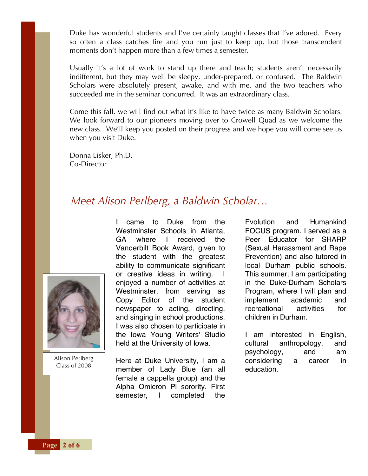Duke has wonderful students and I've certainly taught classes that I've adored. Every so often a class catches fire and you run just to keep up, but those transcendent moments don't happen more than a few times a semester.

Usually it's a lot of work to stand up there and teach; students aren't necessarily indifferent, but they may well be sleepy, under-prepared, or confused. The Baldwin Scholars were absolutely present, awake, and with me, and the two teachers who succeeded me in the seminar concurred. It was an extraordinary class.

Come this fall, we will find out what it's like to have twice as many Baldwin Scholars. We look forward to our pioneers moving over to Crowell Quad as we welcome the new class. We'll keep you posted on their progress and we hope you will come see us when you visit Duke.

Donna Lisker, Ph.D. Co-Director

#### *Meet Alison Perlberg, a Baldwin Scholar…*



Alison Perlberg Class of 2008

I came to Duke from the Westminster Schools in Atlanta. GA where I received the Vanderbilt Book Award, given to the student with the greatest ability to communicate significant or creative ideas in writing. enjoyed a number of activities at Westminster, from serving as Copy Editor of the student newspaper to acting, directing, and singing in school productions. I was also chosen to participate in the Iowa Young Writers' Studio held at the University of Iowa.

Here at Duke University, I am a member of Lady Blue (an all female a cappella group) and the Alpha Omicron Pi sorority. First semester, I completed the

Evolution and Humankind FOCUS program. I served as a Peer Educator for SHARP (Sexual Harassment and Rape Prevention) and also tutored in local Durham public schools. This summer, I am participating in the Duke-Durham Scholars Program, where I will plan and implement academic and recreational activities for children in Durham.

I am interested in English, cultural anthropology, and psychology, and am considering a career in education.

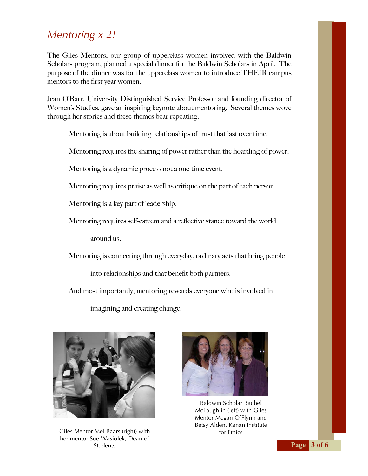## *Mentoring x 2!*

The Giles Mentors, our group of upperclass women involved with the Baldwin Scholars program, planned a special dinner for the Baldwin Scholars in April. The purpose of the dinner was for the upperclass women to introduce THEIR campus mentors to the first-year women.

Jean O'Barr, University Distinguished Service Professor and founding director of Women's Studies, gave an inspiring keynote about mentoring. Several themes wove through her stories and these themes bear repeating:

Mentoring is about building relationships of trust that last over time.

Mentoring requires the sharing of power rather than the hoarding of power.

Mentoring is a dynamic process not a one-time event.

Mentoring requires praise as well as critique on the part of each person.

Mentoring is a key part of leadership.

Mentoring requires self-esteem and a reflective stance toward the world

around us.

Mentoring is connecting through everyday, ordinary acts that bring people

into relationships and that benefit both partners.

And most importantly, mentoring rewards everyone who is involved in

imagining and creating change.



Giles Mentor Mel Baars (right) with her mentor Sue Wasiolek, Dean of Students



Baldwin Scholar Rachel McLaughlin (left) with Giles Mentor Megan O'Flynn and Betsy Alden, Kenan Institute for Ethics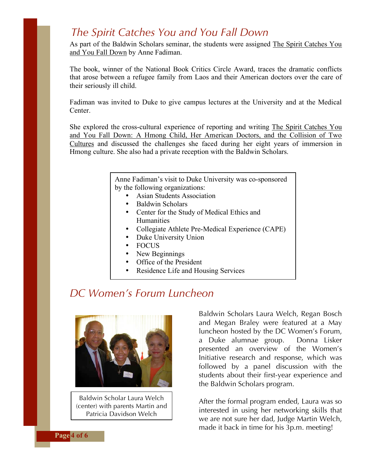#### *The Spirit Catches You and You Fall Down*

As part of the Baldwin Scholars seminar, the students were assigned The Spirit Catches You and You Fall Down by Anne Fadiman.

The book, winner of the National Book Critics Circle Award, traces the dramatic conflicts that arose between a refugee family from Laos and their American doctors over the care of their seriously ill child.

Fadiman was invited to Duke to give campus lectures at the University and at the Medical **Center** 

She explored the cross-cultural experience of reporting and writing The Spirit Catches You and You Fall Down: A Hmong Child, Her American Doctors, and the Collision of Two Cultures and discussed the challenges she faced during her eight years of immersion in Hmong culture. She also had a private reception with the Baldwin Scholars.

> Anne Fadiman's visit to Duke University was co-sponsored by the following organizations:

- Asian Students Association
	- Baldwin Scholars
- Center for the Study of Medical Ethics and Humanities
- Collegiate Athlete Pre-Medical Experience (CAPE)
- Duke University Union<br>• FOCUS
- FOCUS
- New Beginnings
- Office of the President
- Residence Life and Housing Services

## *DC Women's Forum Luncheon*



Baldwin Scholar Laura Welch (center) with parents Martin and Patricia Davidson Welch

Baldwin Scholars Laura Welch, Regan Bosch and Megan Braley were featured at a May luncheon hosted by the DC Women's Forum, a Duke alumnae group. Donna Lisker presented an overview of the Women's Initiative research and response, which was followed by a panel discussion with the students about their first-year experience and the Baldwin Scholars program.

After the formal program ended, Laura was so interested in using her networking skills that we are not sure her dad, Judge Martin Welch, made it back in time for his 3p.m. meeting!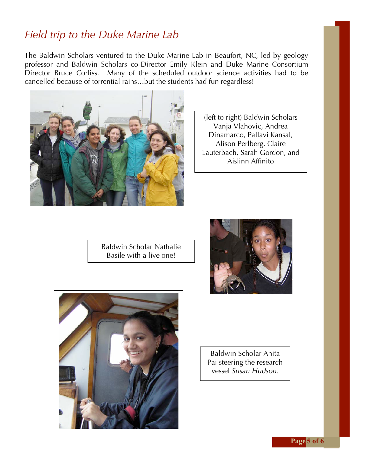## *Field trip to the Duke Marine Lab*

The Baldwin Scholars ventured to the Duke Marine Lab in Beaufort, NC, led by geology professor and Baldwin Scholars co-Director Emily Klein and Duke Marine Consortium Director Bruce Corliss. Many of the scheduled outdoor science activities had to be cancelled because of torrential rains…but the students had fun regardless!



(left to right) Baldwin Scholars Vanja Vlahovic, Andrea Dinamarco, Pallavi Kansal, Alison Perlberg, Claire Lauterbach, Sarah Gordon, and Aislinn Affinito

Baldwin Scholar Nathalie Basile with a live one!





Baldwin Scholar Anita Pai steering the research vessel *Susan Hudson.*